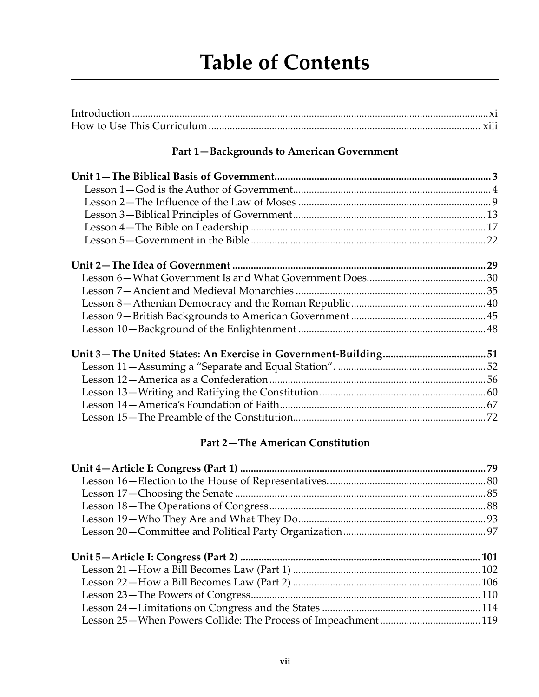# **Table of Contents**

#### **Part 1—Backgrounds to American Government**

#### **Part 2—The American Constitution**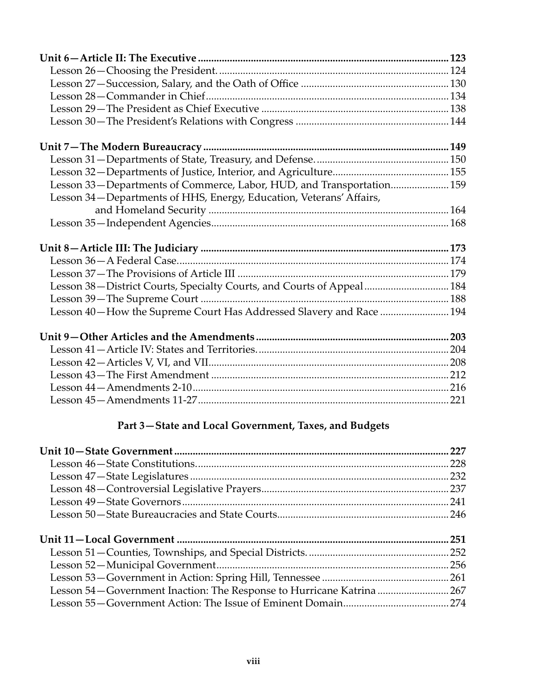| Lesson 33-Departments of Commerce, Labor, HUD, and Transportation 159 |  |
|-----------------------------------------------------------------------|--|
| Lesson 34-Departments of HHS, Energy, Education, Veterans' Affairs,   |  |
|                                                                       |  |
|                                                                       |  |
|                                                                       |  |
|                                                                       |  |
|                                                                       |  |
|                                                                       |  |
|                                                                       |  |
| Lesson 38-District Courts, Specialty Courts, and Courts of Appeal 184 |  |
|                                                                       |  |
| Lesson 40-How the Supreme Court Has Addressed Slavery and Race  194   |  |
|                                                                       |  |
|                                                                       |  |
|                                                                       |  |
|                                                                       |  |
|                                                                       |  |
|                                                                       |  |

## **Part 3—State and Local Government, Taxes, and Budgets**

| 227                                                                    |
|------------------------------------------------------------------------|
|                                                                        |
|                                                                        |
|                                                                        |
|                                                                        |
|                                                                        |
|                                                                        |
| .251                                                                   |
|                                                                        |
|                                                                        |
|                                                                        |
| Lesson 54 – Government Inaction: The Response to Hurricane Katrina 267 |
|                                                                        |
|                                                                        |